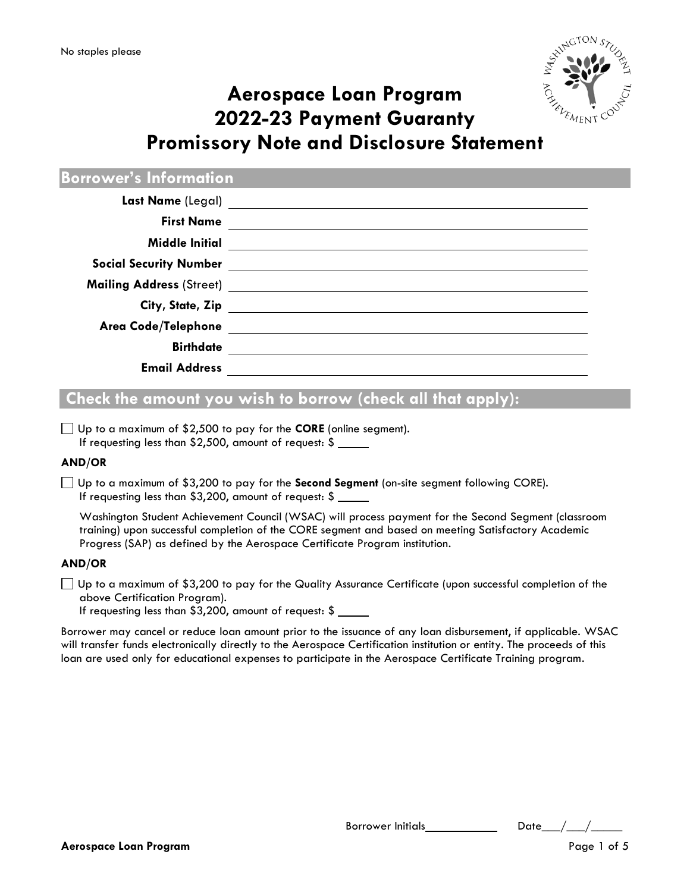

# **Aerospace Loan Program 2022-23 Payment Guaranty Promissory Note and Disclosure Statement**

**Borrower's Information**

| Last Name (Legal)             | <u> 1989 - Andrea Andrew Maria (h. 1989).</u> |
|-------------------------------|-----------------------------------------------|
| <b>First Name</b>             |                                               |
| <b>Middle Initial</b>         |                                               |
| <b>Social Security Number</b> |                                               |
|                               |                                               |
|                               | City, State, Zip                              |
|                               |                                               |
| <b>Birthdate</b>              |                                               |
| <b>Email Address</b>          |                                               |

# **Check the amount you wish to borrow (check all that apply):**

Up to a maximum of \$2,500 to pay for the **CORE** (online segment). If requesting less than \$2,500, amount of request: \$

### **AND/OR**

Up to a maximum of \$3,200 to pay for the **Second Segment** (on-site segment following CORE). If requesting less than \$3,200, amount of request: \$

Washington Student Achievement Council (WSAC) will process payment for the Second Segment (classroom training) upon successful completion of the CORE segment and based on meeting Satisfactory Academic Progress (SAP) as defined by the Aerospace Certificate Program institution.

### **AND/OR**

 $\Box$  Up to a maximum of \$3,200 to pay for the Quality Assurance Certificate (upon successful completion of the above Certification Program).

If requesting less than \$3,200, amount of request: \$

Borrower may cancel or reduce loan amount prior to the issuance of any loan disbursement, if applicable. WSAC will transfer funds electronically directly to the Aerospace Certification institution or entity. The proceeds of this loan are used only for educational expenses to participate in the Aerospace Certificate Training program.

Borrower Initials\_\_\_\_\_\_\_\_\_\_\_\_\_\_\_\_\_\_\_Date\_\_\_\_/\_\_\_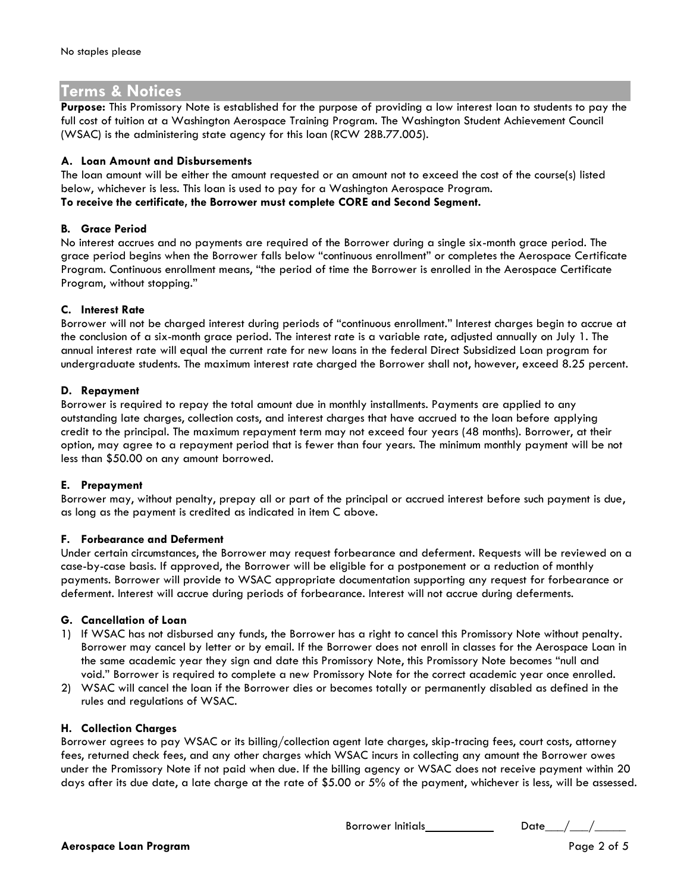## **Terms & Notices**

**Purpose:** This Promissory Note is established for the purpose of providing a low interest loan to students to pay the full cost of tuition at a Washington Aerospace Training Program. The Washington Student Achievement Council (WSAC) is the administering state agency for this loan (RCW 28B.77.005).

#### **A. Loan Amount and Disbursements**

The loan amount will be either the amount requested or an amount not to exceed the cost of the course(s) listed below, whichever is less. This loan is used to pay for a Washington Aerospace Program. **To receive the certificate, the Borrower must complete CORE and Second Segment.**

#### **B. Grace Period**

No interest accrues and no payments are required of the Borrower during a single six-month grace period. The grace period begins when the Borrower falls below "continuous enrollment" or completes the Aerospace Certificate Program. Continuous enrollment means, "the period of time the Borrower is enrolled in the Aerospace Certificate Program, without stopping."

#### **C. Interest Rate**

Borrower will not be charged interest during periods of "continuous enrollment." Interest charges begin to accrue at the conclusion of a six-month grace period. The interest rate is a variable rate, adjusted annually on July 1. The annual interest rate will equal the current rate for new loans in the federal Direct Subsidized Loan program for undergraduate students. The maximum interest rate charged the Borrower shall not, however, exceed 8.25 percent.

#### **D. Repayment**

Borrower is required to repay the total amount due in monthly installments. Payments are applied to any outstanding late charges, collection costs, and interest charges that have accrued to the loan before applying credit to the principal. The maximum repayment term may not exceed four years (48 months). Borrower, at their option, may agree to a repayment period that is fewer than four years. The minimum monthly payment will be not less than \$50.00 on any amount borrowed.

#### **E. Prepayment**

Borrower may, without penalty, prepay all or part of the principal or accrued interest before such payment is due, as long as the payment is credited as indicated in item C above.

#### **F. Forbearance and Deferment**

Under certain circumstances, the Borrower may request forbearance and deferment. Requests will be reviewed on a case-by-case basis. If approved, the Borrower will be eligible for a postponement or a reduction of monthly payments. Borrower will provide to WSAC appropriate documentation supporting any request for forbearance or deferment. Interest will accrue during periods of forbearance. Interest will not accrue during deferments.

#### **G. Cancellation of Loan**

- 1) If WSAC has not disbursed any funds, the Borrower has a right to cancel this Promissory Note without penalty. Borrower may cancel by letter or by email. If the Borrower does not enroll in classes for the Aerospace Loan in the same academic year they sign and date this Promissory Note, this Promissory Note becomes "null and void." Borrower is required to complete a new Promissory Note for the correct academic year once enrolled.
- 2) WSAC will cancel the loan if the Borrower dies or becomes totally or permanently disabled as defined in the rules and regulations of WSAC.

#### **H. Collection Charges**

Borrower agrees to pay WSAC or its billing/collection agent late charges, skip-tracing fees, court costs, attorney fees, returned check fees, and any other charges which WSAC incurs in collecting any amount the Borrower owes under the Promissory Note if not paid when due. If the billing agency or WSAC does not receive payment within 20 days after its due date, a late charge at the rate of \$5.00 or 5% of the payment, whichever is less, will be assessed.

Borrower Initials Date\_\_\_/\_\_\_/\_\_\_\_\_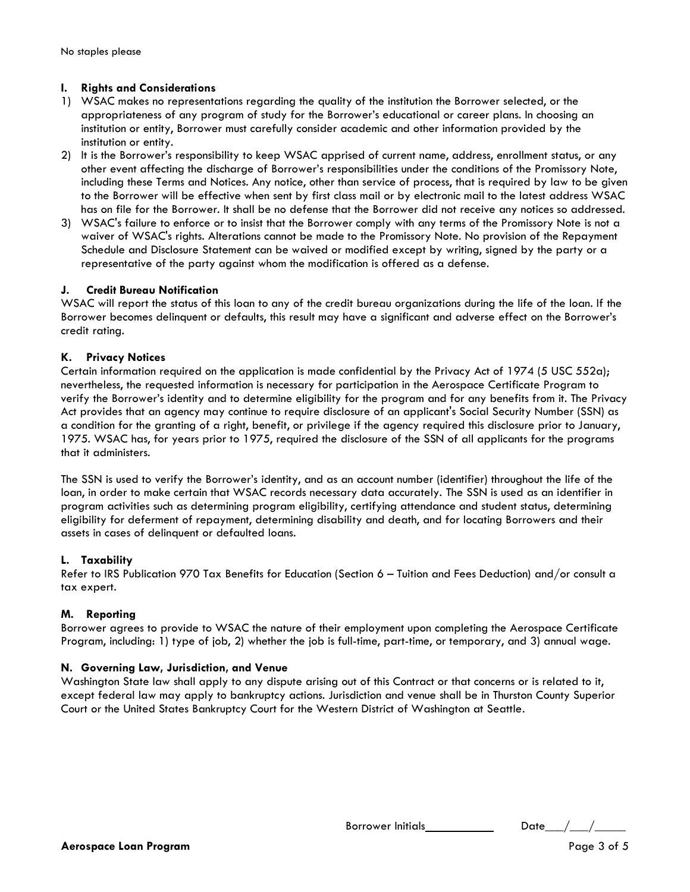#### **I. Rights and Considerations**

- 1) WSAC makes no representations regarding the quality of the institution the Borrower selected, or the appropriateness of any program of study for the Borrower's educational or career plans. In choosing an institution or entity, Borrower must carefully consider academic and other information provided by the institution or entity.
- 2) It is the Borrower's responsibility to keep WSAC apprised of current name, address, enrollment status, or any other event affecting the discharge of Borrower's responsibilities under the conditions of the Promissory Note, including these Terms and Notices. Any notice, other than service of process, that is required by law to be given to the Borrower will be effective when sent by first class mail or by electronic mail to the latest address WSAC has on file for the Borrower. It shall be no defense that the Borrower did not receive any notices so addressed.
- 3) WSAC's failure to enforce or to insist that the Borrower comply with any terms of the Promissory Note is not a waiver of WSAC's rights. Alterations cannot be made to the Promissory Note. No provision of the Repayment Schedule and Disclosure Statement can be waived or modified except by writing, signed by the party or a representative of the party against whom the modification is offered as a defense.

#### **J. Credit Bureau Notification**

WSAC will report the status of this loan to any of the credit bureau organizations during the life of the loan. If the Borrower becomes delinquent or defaults, this result may have a significant and adverse effect on the Borrower's credit rating.

#### **K. Privacy Notices**

Certain information required on the application is made confidential by the Privacy Act of 1974 (5 USC 552a); nevertheless, the requested information is necessary for participation in the Aerospace Certificate Program to verify the Borrower's identity and to determine eligibility for the program and for any benefits from it. The Privacy Act provides that an agency may continue to require disclosure of an applicant's Social Security Number (SSN) as a condition for the granting of a right, benefit, or privilege if the agency required this disclosure prior to January, 1975. WSAC has, for years prior to 1975, required the disclosure of the SSN of all applicants for the programs that it administers.

The SSN is used to verify the Borrower's identity, and as an account number (identifier) throughout the life of the loan, in order to make certain that WSAC records necessary data accurately. The SSN is used as an identifier in program activities such as determining program eligibility, certifying attendance and student status, determining eligibility for deferment of repayment, determining disability and death, and for locating Borrowers and their assets in cases of delinquent or defaulted loans.

#### **L. Taxability**

Refer to IRS Publication 970 Tax Benefits for Education (Section 6 – Tuition and Fees Deduction) and/or consult a tax expert.

#### **M. Reporting**

Borrower agrees to provide to WSAC the nature of their employment upon completing the Aerospace Certificate Program, including: 1) type of job, 2) whether the job is full-time, part-time, or temporary, and 3) annual wage.

#### **N. Governing Law, Jurisdiction, and Venue**

Washington State law shall apply to any dispute arising out of this Contract or that concerns or is related to it, except federal law may apply to bankruptcy actions. Jurisdiction and venue shall be in Thurston County Superior Court or the United States Bankruptcy Court for the Western District of Washington at Seattle.

Borrower Initials  $Date_{1}/\frac{1}{2}$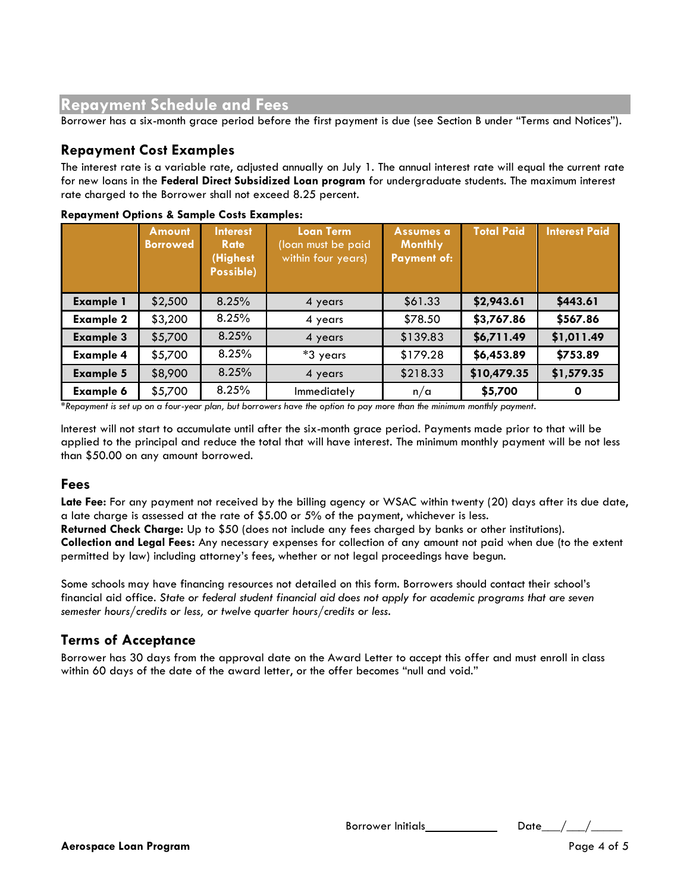# **Repayment Schedule and Fees**

Borrower has a six-month grace period before the first payment is due (see Section B under "Terms and Notices").

## **Repayment Cost Examples**

The interest rate is a variable rate, adjusted annually on July 1. The annual interest rate will equal the current rate for new loans in the **Federal Direct Subsidized Loan program** for undergraduate students. The maximum interest rate charged to the Borrower shall not exceed 8.25 percent.

|                  | <b>Amount</b><br><b>Borrowed</b> | <b>Interest</b><br><b>Rate</b><br>(Highest<br>Possible) | <b>Loan Term</b><br>(loan must be paid<br>within four years) | Assumes a<br><b>Monthly</b><br><b>Payment of:</b> | <b>Total Paid</b> | <b>Interest Paid</b> |
|------------------|----------------------------------|---------------------------------------------------------|--------------------------------------------------------------|---------------------------------------------------|-------------------|----------------------|
| <b>Example 1</b> | \$2,500                          | 8.25%                                                   | 4 years                                                      | \$61.33                                           | \$2,943.61        | \$443.61             |
| <b>Example 2</b> | \$3,200                          | 8.25%                                                   | 4 years                                                      | \$78.50                                           | \$3,767.86        | \$567.86             |
| <b>Example 3</b> | \$5,700                          | 8.25%                                                   | 4 years                                                      | \$139.83                                          | \$6,711.49        | \$1,011.49           |
| <b>Example 4</b> | \$5,700                          | 8.25%                                                   | *3 years                                                     | \$179.28                                          | \$6,453.89        | \$753.89             |
| <b>Example 5</b> | \$8,900                          | 8.25%                                                   | 4 years                                                      | \$218.33                                          | \$10,479.35       | \$1,579.35           |
| <b>Example 6</b> | \$5,700                          | 8.25%                                                   | Immediately                                                  | n/a                                               | \$5,700           | 0                    |

#### **Repayment Options & Sample Costs Examples:**

*\*Repayment is set up on a four-year plan, but borrowers have the option to pay more than the minimum monthly payment.* 

Interest will not start to accumulate until after the six-month grace period. Payments made prior to that will be applied to the principal and reduce the total that will have interest. The minimum monthly payment will be not less than \$50.00 on any amount borrowed.

### **Fees**

Late Fee: For any payment not received by the billing agency or WSAC within twenty (20) days after its due date, a late charge is assessed at the rate of \$5.00 or 5% of the payment, whichever is less.

**Returned Check Charge:** Up to \$50 (does not include any fees charged by banks or other institutions). **Collection and Legal Fees:** Any necessary expenses for collection of any amount not paid when due (to the extent permitted by law) including attorney's fees, whether or not legal proceedings have begun.

Some schools may have financing resources not detailed on this form. Borrowers should contact their school's financial aid office. *State or federal student financial aid does not apply for academic programs that are seven semester hours/credits or less, or twelve quarter hours/credits or less.* 

## **Terms of Acceptance**

Borrower has 30 days from the approval date on the Award Letter to accept this offer and must enroll in class within 60 days of the date of the award letter, or the offer becomes "null and void."

Borrower Initials  $Date_{\_}/\_$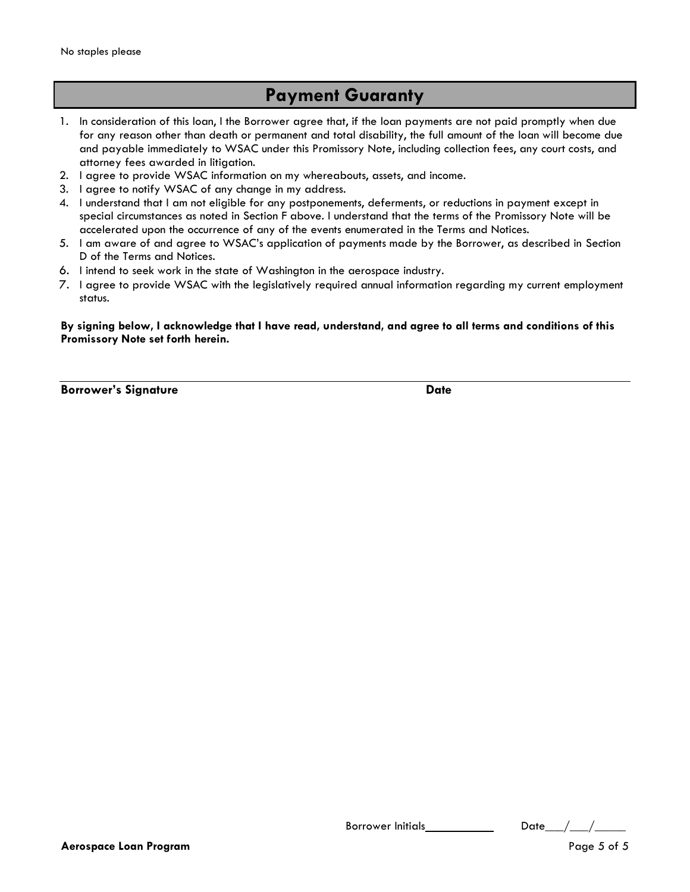# **Payment Guaranty**

- 1. In consideration of this loan, I the Borrower agree that, if the loan payments are not paid promptly when due for any reason other than death or permanent and total disability, the full amount of the loan will become due and payable immediately to WSAC under this Promissory Note, including collection fees, any court costs, and attorney fees awarded in litigation.
- 2. I agree to provide WSAC information on my whereabouts, assets, and income.
- 3. I agree to notify WSAC of any change in my address.
- 4. I understand that I am not eligible for any postponements, deferments, or reductions in payment except in special circumstances as noted in Section F above. I understand that the terms of the Promissory Note will be accelerated upon the occurrence of any of the events enumerated in the Terms and Notices.
- 5. I am aware of and agree to WSAC's application of payments made by the Borrower, as described in Section D of the Terms and Notices.
- 6. I intend to seek work in the state of Washington in the aerospace industry.
- 7. I agree to provide WSAC with the legislatively required annual information regarding my current employment status.

#### **By signing below, I acknowledge that I have read, understand, and agree to all terms and conditions of this Promissory Note set forth herein.**

**Borrower's Signature Date** 

Borrower Initials  $\begin{array}{ccc} \text{D} & \text{D} \end{array}$